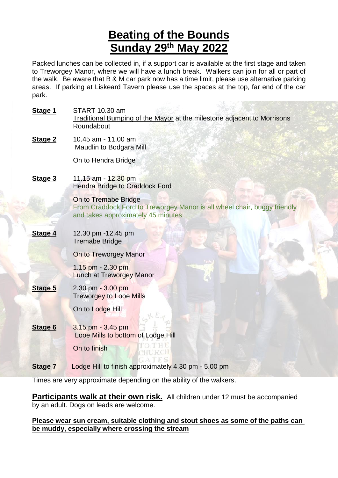# **Beating of the Bounds Sunday 29th May 2022**

Packed lunches can be collected in, if a support car is available at the first stage and taken to Treworgey Manor, where we will have a lunch break. Walkers can join for all or part of the walk. Be aware that B & M car park now has a time limit, please use alternative parking areas. If parking at Liskeard Tavern please use the spaces at the top, far end of the car park.

| Stage 1        | START 10.30 am<br><b>Traditional Bumping of the Mayor at the milestone adjacent to Morrisons</b><br>Roundabout                          |
|----------------|-----------------------------------------------------------------------------------------------------------------------------------------|
| Stage 2        | 10.45 am - 11.00 am<br>Maudlin to Bodgara Mill                                                                                          |
|                | On to Hendra Bridge                                                                                                                     |
| Stage 3        | 11.15 am - 12.30 pm<br><b>Hendra Bridge to Craddock Ford</b>                                                                            |
|                | On to Tremabe Bridge<br>From Craddock Ford to Treworgey Manor is all wheel chair, buggy friendly<br>and takes approximately 45 minutes. |
| Stage 4        | 12.30 pm -12.45 pm<br><b>Tremabe Bridge</b>                                                                                             |
|                | On to Treworgey Manor                                                                                                                   |
|                | $1.15$ pm - 2.30 pm<br><b>Lunch at Treworgey Manor</b>                                                                                  |
| Stage 5        | 2.30 pm - 3.00 pm<br><b>Treworgey to Looe Mills</b>                                                                                     |
|                | On to Lodge Hill                                                                                                                        |
| Stage 6        | 3.15 pm - 3.45 pm<br>Looe Mills to bottom of Lodge Hill                                                                                 |
|                | On to finish                                                                                                                            |
| <b>Stage 7</b> | Lodge Hill to finish approximately 4.30 pm - 5.00 pm                                                                                    |

Times are very approximate depending on the ability of the walkers.

**Participants walk at their own risk.** All children under 12 must be accompanied by an adult. Dogs on leads are welcome.

**Please wear sun cream, suitable clothing and stout shoes as some of the paths can be muddy, especially where crossing the stream**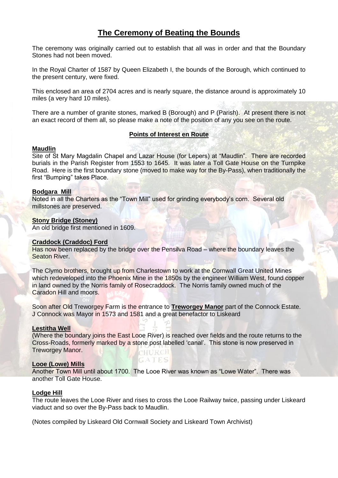# **The Ceremony of Beating the Bounds**

The ceremony was originally carried out to establish that all was in order and that the Boundary Stones had not been moved.

In the Royal Charter of 1587 by Queen Elizabeth I, the bounds of the Borough, which continued to the present century, were fixed.

This enclosed an area of 2704 acres and is nearly square, the distance around is approximately 10 miles (a very hard 10 miles).

There are a number of granite stones, marked B (Borough) and P (Parish). At present there is not an exact record of them all, so please make a note of the position of any you see on the route.

# **Points of Interest en Route**

# **Maudlin**

Site of St Mary Magdalin Chapel and Lazar House (for Lepers) at "Maudlin". There are recorded burials in the Parish Register from 1553 to 1645. It was later a Toll Gate House on the Turnpike Road. Here is the first boundary stone (moved to make way for the By-Pass), when traditionally the first "Bumping" takes Place.

# **Bodgara Mill**

Noted in all the Charters as the "Town Mill" used for grinding everybody's corn. Several old millstones are preserved.

# **Stony Bridge (Stoney)**

An old bridge first mentioned in 1609.

# **Craddock (Craddoc) Ford**

Has now been replaced by the bridge over the Pensilva Road – where the boundary leaves the Seaton River.

The Clymo brothers, brought up from Charlestown to work at the Cornwall Great United Mines which redeveloped into the Phoenix Mine in the 1850s by the engineer William West, found copper in land owned by the Norris family of Rosecraddock. The Norris family owned much of the Caradon Hill and moors.

Soon after Old Treworgey Farm is the entrance to **Treworgey Manor** part of the Connock Estate. J Connock was Mayor in 1573 and 1581 and a great benefactor to Liskeard

# **Lestitha Well**

(Where the boundary joins the East Looe River) is reached over fields and the route returns to the Cross-Roads, formerly marked by a stone post labelled 'canal'. This stone is now preserved in Treworgey Manor. **HILLECH** 

# **Looe (Lowe) Mills**

Another Town Mill until about 1700. The Looe River was known as "Lowe Water". There was another Toll Gate House.

TES

# **Lodge Hill**

The route leaves the Looe River and rises to cross the Looe Railway twice, passing under Liskeard viaduct and so over the By-Pass back to Maudlin.

(Notes compiled by Liskeard Old Cornwall Society and Liskeard Town Archivist)